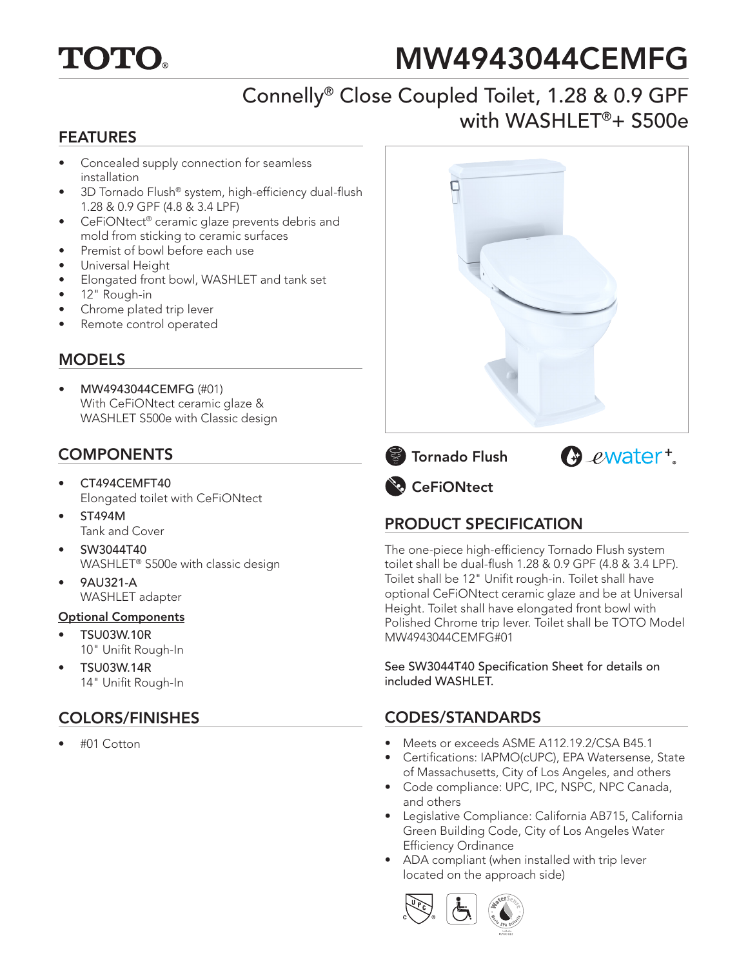

# MW4943044CEMFG

## Connelly® Close Coupled Toilet, 1.28 & 0.9 GPF with WASHLET®+ S500e

#### FEATURES

- Concealed supply connection for seamless installation
- 3D Tornado Flush® system, high-efficiency dual-flush 1.28 & 0.9 GPF (4.8 & 3.4 LPF)
- CeFiONtect® ceramic glaze prevents debris and mold from sticking to ceramic surfaces
- Premist of bowl before each use
- Universal Height
- Elongated front bowl, WASHLET and tank set
- 12" Rough-in
- Chrome plated trip lever
- Remote control operated

#### **MODELS**

• MW4943044CEMFG (#01) With CeFiONtect ceramic glaze & WASHLET S500e with Classic design

#### COMPONENTS

- CT494CEMFT40 Elongated toilet with CeFiONtect
- ST494M Tank and Cover
- SW3044T40 WASHLET® S500e with classic design
- 9AU321-A WASHLET adapter

#### Optional Components

- TSU03W.10R 10" Unifit Rough-In
- TSU03W.14R 14" Unifit Rough-In

#### COLORS/FINISHES

• #01 Cotton







**CeFiONtect** 

### PRODUCT SPECIFICATION

The one-piece high-efficiency Tornado Flush system toilet shall be dual-flush 1.28 & 0.9 GPF (4.8 & 3.4 LPF). Toilet shall be 12" Unifit rough-in. Toilet shall have optional CeFiONtect ceramic glaze and be at Universal Height. Toilet shall have elongated front bowl with Polished Chrome trip lever. Toilet shall be TOTO Model MW4943044CEMFG#01

See SW3044T40 Specification Sheet for details on included WASHLET.

#### CODES/STANDARDS

- Meets or exceeds ASME A112.19.2/CSA B45.1
- Certifications: IAPMO(cUPC), EPA Watersense, State of Massachusetts, City of Los Angeles, and others
- Code compliance: UPC, IPC, NSPC, NPC Canada, and others
- Legislative Compliance: California AB715, California Green Building Code, City of Los Angeles Water Efficiency Ordinance
- ADA compliant (when installed with trip lever located on the approach side)